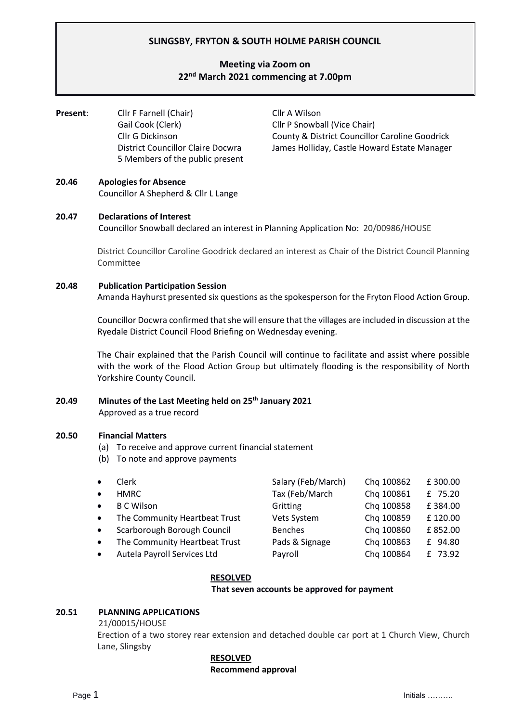# **SLINGSBY, FRYTON & SOUTH HOLME PARISH COUNCIL**

# **Meeting via Zoom on 22nd March 2021 commencing at 7.00pm**

**Present:** Cllr F Farnell (Chair) Cllr A Wilson Gail Cook (Clerk) Cllr P Snowball (Vice Chair) 5 Members of the public present

Cllr G Dickinson County & District Councillor Caroline Goodrick District Councillor Claire Docwra James Holliday, Castle Howard Estate Manager

# **20.46 Apologies for Absence**

Councillor A Shepherd & Cllr L Lange

# **20.47 Declarations of Interest**

Councillor Snowball declared an interest in Planning Application No: 20/00986/HOUSE

District Councillor Caroline Goodrick declared an interest as Chair of the District Council Planning Committee

# **20.48 Publication Participation Session**

Amanda Hayhurst presented six questions as the spokesperson for the Fryton Flood Action Group.

Councillor Docwra confirmed that she will ensure that the villages are included in discussion at the Ryedale District Council Flood Briefing on Wednesday evening.

The Chair explained that the Parish Council will continue to facilitate and assist where possible with the work of the Flood Action Group but ultimately flooding is the responsibility of North Yorkshire County Council.

# **20.49 Minutes of the Last Meeting held on 25th January 2021** Approved as a true record

### **20.50 Financial Matters**

- (a) To receive and approve current financial statement
- (b) To note and approve payments
- Clerk Salary (Feb/March) Chq 100862 £ 300.00 • HMRC Tax (Feb/March Chq 100861 £ 75.20 **B C Wilson Gritting** Chq 100858 £ 384.00 The Community Heartbeat Trust Vets System Chq 100859 £ 120.00 • Scarborough Borough Council Benches Chq 100860 £ 852.00 The Community Heartbeat Trust Pads & Signage Chq 100863 £ 94.80 • Autela Payroll Services Ltd Payroll Chq 100864 £ 73.92

### **RESOLVED**

#### **That seven accounts be approved for payment**

### **20.51 PLANNING APPLICATIONS**

21/00015/HOUSE

Erection of a two storey rear extension and detached double car port at 1 Church View, Church Lane, Slingsby

#### **RESOLVED**

#### **Recommend approval**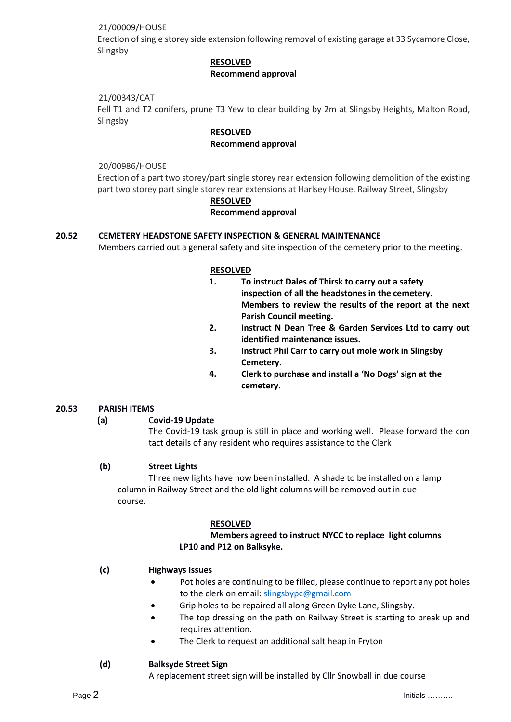# 21/00009/HOUSE

Erection of single storey side extension following removal of existing garage at 33 Sycamore Close, Slingsby

# **RESOLVED**

### **Recommend approval**

# 21/00343/CAT

Fell T1 and T2 conifers, prune T3 Yew to clear building by 2m at Slingsby Heights, Malton Road, Slingsby

# **RESOLVED**

# **Recommend approval**

20/00986/HOUSE

Erection of a part two storey/part single storey rear extension following demolition of the existing part two storey part single storey rear extensions at Harlsey House, Railway Street, Slingsby

# **RESOLVED**

# **Recommend approval**

# **20.52 CEMETERY HEADSTONE SAFETY INSPECTION & GENERAL MAINTENANCE**

Members carried out a general safety and site inspection of the cemetery prior to the meeting.

### **RESOLVED**

- **1. To instruct Dales of Thirsk to carry out a safety inspection of all the headstones in the cemetery. Members to review the results of the report at the next Parish Council meeting.**
- **2. Instruct N Dean Tree & Garden Services Ltd to carry out identified maintenance issues.**
- **3. Instruct Phil Carr to carry out mole work in Slingsby Cemetery.**
- **4. Clerk to purchase and install a 'No Dogs' sign at the cemetery.**

# **20.53 PARISH ITEMS**

**(a)** C**ovid-19 Update**

The Covid-19 task group is still in place and working well. Please forward the con tact details of any resident who requires assistance to the Clerk

# **(b) Street Lights**

Three new lights have now been installed. A shade to be installed on a lamp column in Railway Street and the old light columns will be removed out in due course.

### **RESOLVED**

# **Members agreed to instruct NYCC to replace light columns LP10 and P12 on Balksyke.**

### **(c) Highways Issues**

- Pot holes are continuing to be filled, please continue to report any pot holes to the clerk on email: slingsbypc@gmail.com
- Grip holes to be repaired all along Green Dyke Lane, Slingsby.
- The top dressing on the path on Railway Street is starting to break up and requires attention.
- The Clerk to request an additional salt heap in Fryton

### **(d) Balksyde Street Sign**

A replacement street sign will be installed by Cllr Snowball in due course